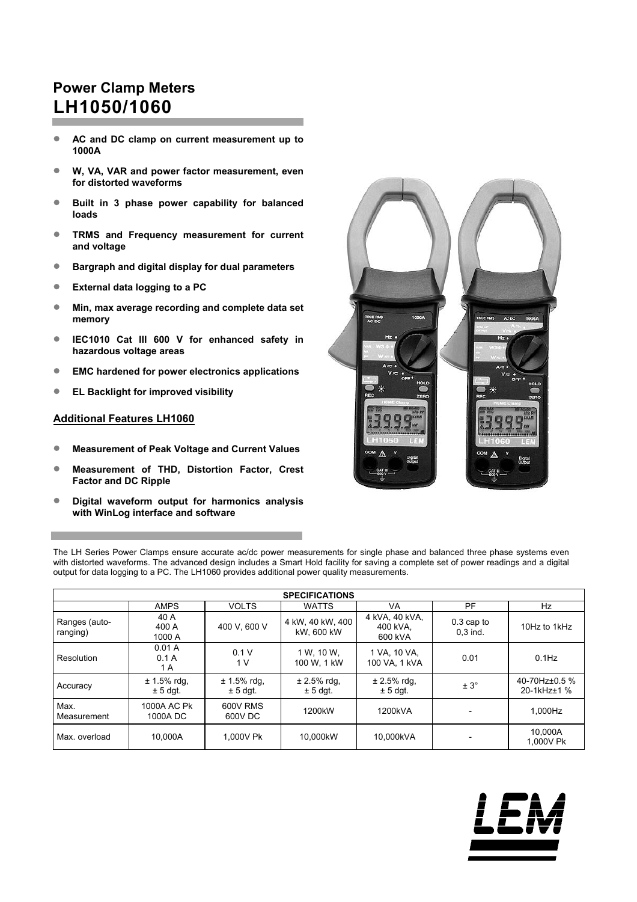# **Power Clamp Meters LH1050/1060**

- **AC and DC clamp on current measurement up to 1000A**
- **W, VA, VAR and power factor measurement, even for distorted waveforms**
- **Built in 3 phase power capability for balanced loads**
- **TRMS and Frequency measurement for current and voltage**
- **Bargraph and digital display for dual parameters**
- **External data logging to a PC**
- **Min, max average recording and complete data set memory**
- **IEC1010 Cat III 600 V for enhanced safety in hazardous voltage areas**
- **EMC hardened for power electronics applications**
- **EL Backlight for improved visibility**

# **Additional Features LH1060**

- **Measurement of Peak Voltage and Current Values**
- **Measurement of THD, Distortion Factor, Crest Factor and DC Ripple**
- **Digital waveform output for harmonics analysis with WinLog interface and software**



The LH Series Power Clamps ensure accurate ac/dc power measurements for single phase and balanced three phase systems even with distorted waveforms. The advanced design includes a Smart Hold facility for saving a complete set of power readings and a digital output for data logging to a PC. The LH1060 provides additional power quality measurements.

| <b>SPECIFICATIONS</b>     |                             |                              |                                |                                       |                            |                              |  |  |  |
|---------------------------|-----------------------------|------------------------------|--------------------------------|---------------------------------------|----------------------------|------------------------------|--|--|--|
|                           | <b>AMPS</b>                 | <b>VOLTS</b>                 | <b>WATTS</b>                   | VA                                    | <b>PF</b>                  | Hz                           |  |  |  |
| Ranges (auto-<br>ranging) | 40 A<br>400 A<br>1000 A     | 400 V, 600 V                 | 4 kW, 40 kW, 400<br>kW, 600 kW | 4 kVA, 40 kVA,<br>400 kVA.<br>600 kVA | $0.3$ cap to<br>$0.3$ ind. | 10Hz to 1kHz                 |  |  |  |
| Resolution                | 0.01A<br>0.1A<br>1 A        | 0.1V<br>1 V                  | 1 W. 10 W.<br>100 W. 1 kW      | 1 VA, 10 VA,<br>100 VA. 1 kVA         | 0.01                       | $0.1$ Hz                     |  |  |  |
| Accuracy                  | $± 1.5%$ rdg,<br>$± 5$ dgt. | $± 1.5\%$ rdg,<br>$± 5$ dgt. | $± 2.5%$ rdg,<br>$± 5$ dgt.    | $± 2.5%$ rdg,<br>$± 5$ dgt.           | $± 3^\circ$                | 40-70Hz±0.5 %<br>20-1kHz±1 % |  |  |  |
| Max.<br>Measurement       | 1000A AC Pk<br>1000A DC     | 600V RMS<br>600V DC          | 1200 <sub>k</sub> W            | 1200kVA                               |                            | 1,000Hz                      |  |  |  |
| Max. overload             | 10.000A                     | 1.000V Pk                    | 10.000kW                       | 10,000kVA                             |                            | 10,000A<br>1.000V Pk         |  |  |  |